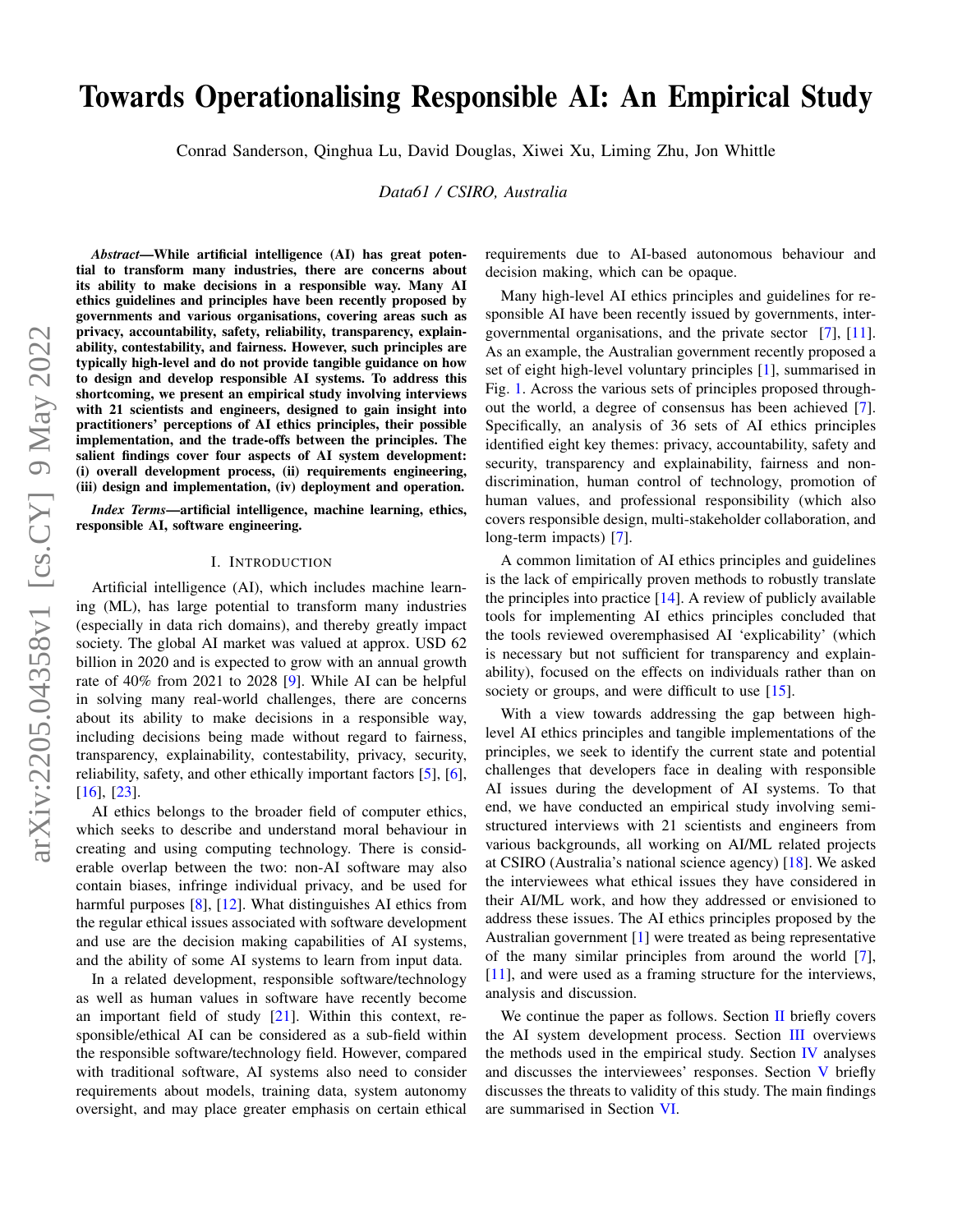# Towards Operationalising Responsible AI: An Empirical Study

Conrad Sanderson, Qinghua Lu, David Douglas, Xiwei Xu, Liming Zhu, Jon Whittle

*Data61 / CSIRO, Australia*

*Abstract*—While artificial intelligence (AI) has great potential to transform many industries, there are concerns about its ability to make decisions in a responsible way. Many AI ethics guidelines and principles have been recently proposed by governments and various organisations, covering areas such as privacy, accountability, safety, reliability, transparency, explainability, contestability, and fairness. However, such principles are typically high-level and do not provide tangible guidance on how to design and develop responsible AI systems. To address this shortcoming, we present an empirical study involving interviews with 21 scientists and engineers, designed to gain insight into practitioners' perceptions of AI ethics principles, their possible implementation, and the trade-offs between the principles. The salient findings cover four aspects of AI system development: (i) overall development process, (ii) requirements engineering, (iii) design and implementation, (iv) deployment and operation.

*Index Terms*—artificial intelligence, machine learning, ethics, responsible AI, software engineering.

#### I. INTRODUCTION

Artificial intelligence (AI), which includes machine learning (ML), has large potential to transform many industries (especially in data rich domains), and thereby greatly impact society. The global AI market was valued at approx. USD 62 billion in 2020 and is expected to grow with an annual growth rate of 40% from 2021 to 2028 [\[9\]](#page-6-0). While AI can be helpful in solving many real-world challenges, there are concerns about its ability to make decisions in a responsible way, including decisions being made without regard to fairness, transparency, explainability, contestability, privacy, security, reliability, safety, and other ethically important factors [\[5\]](#page-6-1), [\[6\]](#page-6-2), [\[16\]](#page-6-3), [\[23\]](#page-6-4).

AI ethics belongs to the broader field of computer ethics, which seeks to describe and understand moral behaviour in creating and using computing technology. There is considerable overlap between the two: non-AI software may also contain biases, infringe individual privacy, and be used for harmful purposes [\[8\]](#page-6-5), [\[12\]](#page-6-6). What distinguishes AI ethics from the regular ethical issues associated with software development and use are the decision making capabilities of AI systems, and the ability of some AI systems to learn from input data.

In a related development, responsible software/technology as well as human values in software have recently become an important field of study [\[21\]](#page-6-7). Within this context, responsible/ethical AI can be considered as a sub-field within the responsible software/technology field. However, compared with traditional software, AI systems also need to consider requirements about models, training data, system autonomy oversight, and may place greater emphasis on certain ethical requirements due to AI-based autonomous behaviour and decision making, which can be opaque.

Many high-level AI ethics principles and guidelines for responsible AI have been recently issued by governments, intergovernmental organisations, and the private sector [\[7\]](#page-6-8), [\[11\]](#page-6-9). As an example, the Australian government recently proposed a set of eight high-level voluntary principles [\[1\]](#page-6-10), summarised in Fig. [1.](#page-1-0) Across the various sets of principles proposed throughout the world, a degree of consensus has been achieved [\[7\]](#page-6-8). Specifically, an analysis of 36 sets of AI ethics principles identified eight key themes: privacy, accountability, safety and security, transparency and explainability, fairness and nondiscrimination, human control of technology, promotion of human values, and professional responsibility (which also covers responsible design, multi-stakeholder collaboration, and long-term impacts) [\[7\]](#page-6-8).

A common limitation of AI ethics principles and guidelines is the lack of empirically proven methods to robustly translate the principles into practice  $[14]$ . A review of publicly available tools for implementing AI ethics principles concluded that the tools reviewed overemphasised AI 'explicability' (which is necessary but not sufficient for transparency and explainability), focused on the effects on individuals rather than on society or groups, and were difficult to use [\[15\]](#page-6-12).

With a view towards addressing the gap between highlevel AI ethics principles and tangible implementations of the principles, we seek to identify the current state and potential challenges that developers face in dealing with responsible AI issues during the development of AI systems. To that end, we have conducted an empirical study involving semistructured interviews with 21 scientists and engineers from various backgrounds, all working on AI/ML related projects at CSIRO (Australia's national science agency) [\[18\]](#page-6-13). We asked the interviewees what ethical issues they have considered in their AI/ML work, and how they addressed or envisioned to address these issues. The AI ethics principles proposed by the Australian government [\[1\]](#page-6-10) were treated as being representative of the many similar principles from around the world [\[7\]](#page-6-8), [\[11\]](#page-6-9), and were used as a framing structure for the interviews, analysis and discussion.

We continue the paper as follows. Section  $II$  briefly covers the AI system development process. Section [III](#page-1-2) overviews the methods used in the empirical study. Section [IV](#page-2-0) analyses and discusses the interviewees' responses. Section [V](#page-5-0) briefly discusses the threats to validity of this study. The main findings are summarised in Section [VI.](#page-5-1)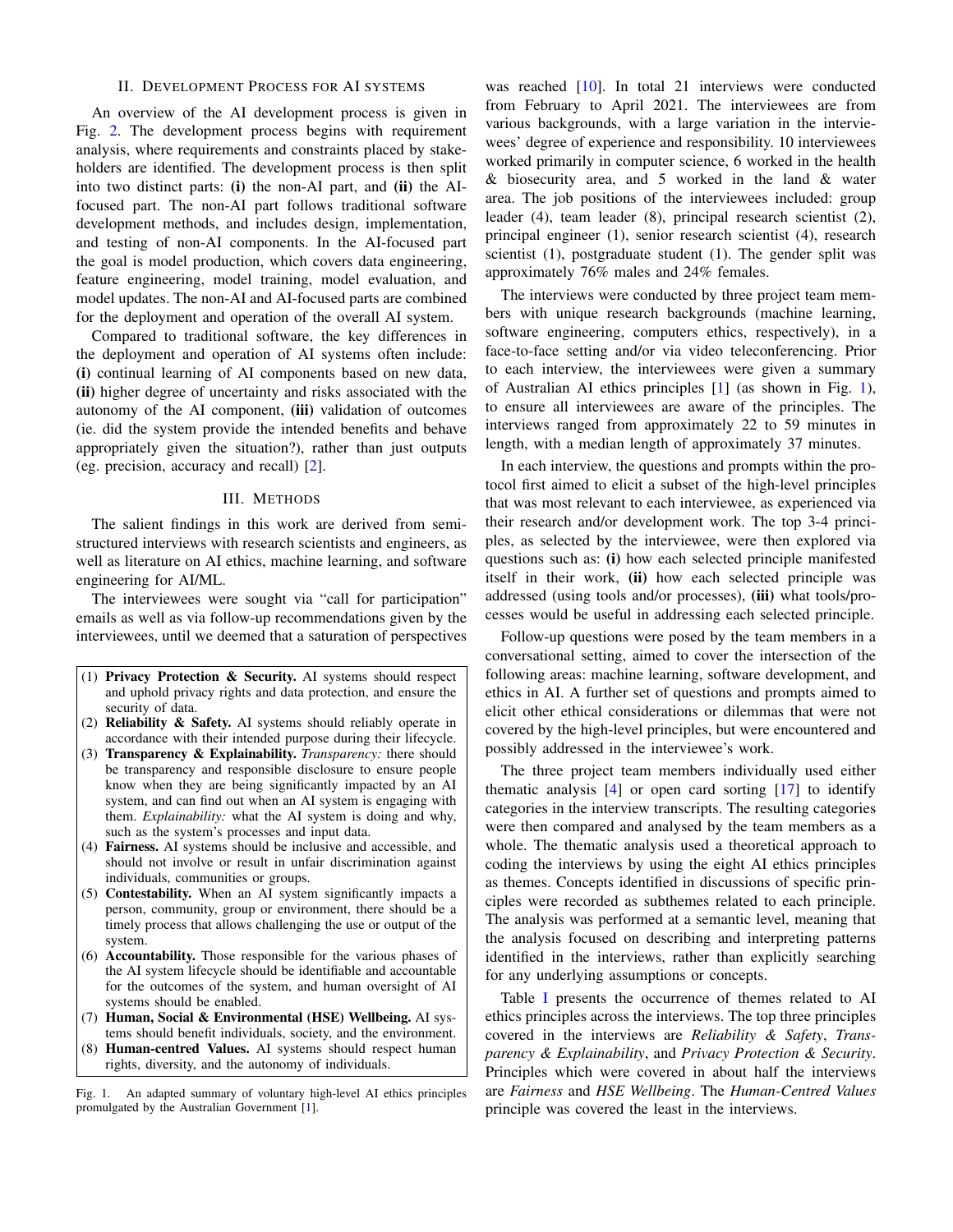#### II. DEVELOPMENT PROCESS FOR AI SYSTEMS

<span id="page-1-1"></span>An overview of the AI development process is given in Fig. [2.](#page-2-1) The development process begins with requirement analysis, where requirements and constraints placed by stakeholders are identified. The development process is then split into two distinct parts: (i) the non-AI part, and (ii) the AIfocused part. The non-AI part follows traditional software development methods, and includes design, implementation, and testing of non-AI components. In the AI-focused part the goal is model production, which covers data engineering, feature engineering, model training, model evaluation, and model updates. The non-AI and AI-focused parts are combined for the deployment and operation of the overall AI system.

Compared to traditional software, the key differences in the deployment and operation of AI systems often include: (i) continual learning of AI components based on new data, (ii) higher degree of uncertainty and risks associated with the autonomy of the AI component, (iii) validation of outcomes (ie. did the system provide the intended benefits and behave appropriately given the situation?), rather than just outputs (eg. precision, accuracy and recall) [\[2\]](#page-6-14).

#### III. METHODS

<span id="page-1-2"></span>The salient findings in this work are derived from semistructured interviews with research scientists and engineers, as well as literature on AI ethics, machine learning, and software engineering for AI/ML.

The interviewees were sought via "call for participation" emails as well as via follow-up recommendations given by the interviewees, until we deemed that a saturation of perspectives

- (1) Privacy Protection & Security. AI systems should respect and uphold privacy rights and data protection, and ensure the security of data.
- (2) Reliability & Safety. AI systems should reliably operate in accordance with their intended purpose during their lifecycle.
- (3) Transparency & Explainability. *Transparency:* there should be transparency and responsible disclosure to ensure people know when they are being significantly impacted by an AI system, and can find out when an AI system is engaging with them. *Explainability:* what the AI system is doing and why, such as the system's processes and input data.
- (4) Fairness. AI systems should be inclusive and accessible, and should not involve or result in unfair discrimination against individuals, communities or groups.
- (5) Contestability. When an AI system significantly impacts a person, community, group or environment, there should be a timely process that allows challenging the use or output of the system.
- (6) Accountability. Those responsible for the various phases of the AI system lifecycle should be identifiable and accountable for the outcomes of the system, and human oversight of AI systems should be enabled.
- (7) Human, Social & Environmental (HSE) Wellbeing. AI systems should benefit individuals, society, and the environment.
- <span id="page-1-0"></span>(8) Human-centred Values. AI systems should respect human rights, diversity, and the autonomy of individuals.

Fig. 1. An adapted summary of voluntary high-level AI ethics principles promulgated by the Australian Government [\[1\]](#page-6-10).

was reached [\[10\]](#page-6-15). In total 21 interviews were conducted from February to April 2021. The interviewees are from various backgrounds, with a large variation in the interviewees' degree of experience and responsibility. 10 interviewees worked primarily in computer science, 6 worked in the health  $&$  biosecurity area, and 5 worked in the land  $&$  water area. The job positions of the interviewees included: group leader (4), team leader (8), principal research scientist (2), principal engineer (1), senior research scientist (4), research scientist (1), postgraduate student (1). The gender split was approximately 76% males and 24% females.

The interviews were conducted by three project team members with unique research backgrounds (machine learning, software engineering, computers ethics, respectively), in a face-to-face setting and/or via video teleconferencing. Prior to each interview, the interviewees were given a summary of Australian AI ethics principles [\[1\]](#page-6-10) (as shown in Fig. [1\)](#page-1-0), to ensure all interviewees are aware of the principles. The interviews ranged from approximately 22 to 59 minutes in length, with a median length of approximately 37 minutes.

In each interview, the questions and prompts within the protocol first aimed to elicit a subset of the high-level principles that was most relevant to each interviewee, as experienced via their research and/or development work. The top 3-4 principles, as selected by the interviewee, were then explored via questions such as: (i) how each selected principle manifested itself in their work, (ii) how each selected principle was addressed (using tools and/or processes), (iii) what tools/processes would be useful in addressing each selected principle.

Follow-up questions were posed by the team members in a conversational setting, aimed to cover the intersection of the following areas: machine learning, software development, and ethics in AI. A further set of questions and prompts aimed to elicit other ethical considerations or dilemmas that were not covered by the high-level principles, but were encountered and possibly addressed in the interviewee's work.

The three project team members individually used either thematic analysis  $[4]$  or open card sorting  $[17]$  to identify categories in the interview transcripts. The resulting categories were then compared and analysed by the team members as a whole. The thematic analysis used a theoretical approach to coding the interviews by using the eight AI ethics principles as themes. Concepts identified in discussions of specific principles were recorded as subthemes related to each principle. The analysis was performed at a semantic level, meaning that the analysis focused on describing and interpreting patterns identified in the interviews, rather than explicitly searching for any underlying assumptions or concepts.

Table [I](#page-2-2) presents the occurrence of themes related to AI ethics principles across the interviews. The top three principles covered in the interviews are *Reliability & Safety*, *Transparency & Explainability*, and *Privacy Protection & Security*. Principles which were covered in about half the interviews are *Fairness* and *HSE Wellbeing*. The *Human-Centred Values* principle was covered the least in the interviews.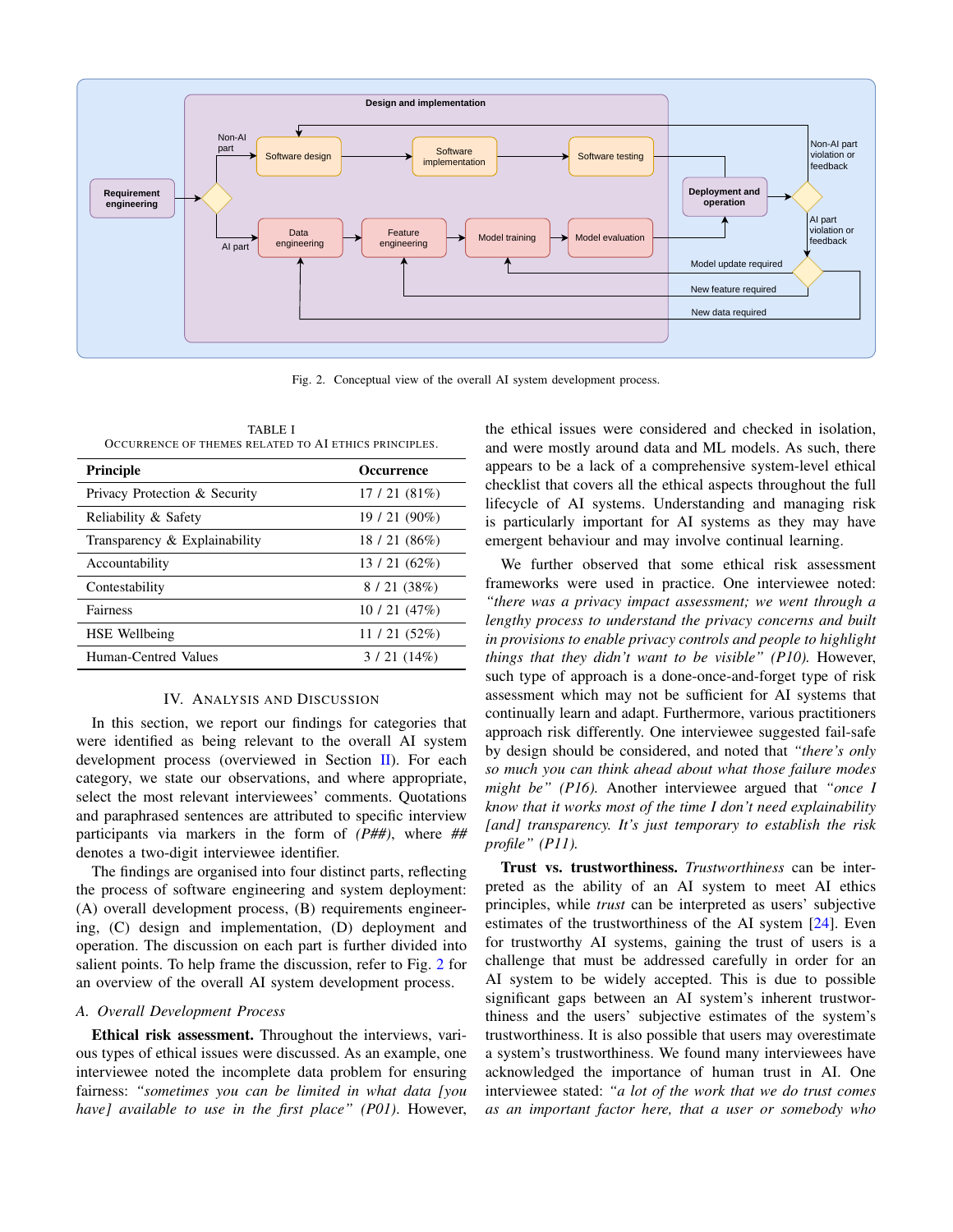

Fig. 2. Conceptual view of the overall AI system development process.

<span id="page-2-2"></span>TABLE I OCCURRENCE OF THEMES RELATED TO AI ETHICS PRINCIPLES.

| <b>Principle</b>                 | <b>Occurrence</b> |
|----------------------------------|-------------------|
| Privacy Protection & Security    | 17/21(81%)        |
| Reliability & Safety             | 19/21 (90%)       |
| Transparency $\&$ Explainability | 18/21(86%)        |
| Accountability                   | 13/21(62%)        |
| Contestability                   | 8/21(38%)         |
| Fairness                         | 10/21(47%)        |
| <b>HSE</b> Wellbeing             | 11/21(52%)        |
| Human-Centred Values             | 3/21(14%)         |

#### IV. ANALYSIS AND DISCUSSION

<span id="page-2-0"></span>In this section, we report our findings for categories that were identified as being relevant to the overall AI system development process (overviewed in Section  $\Pi$ ). For each category, we state our observations, and where appropriate, select the most relevant interviewees' comments. Quotations and paraphrased sentences are attributed to specific interview participants via markers in the form of *(P##)*, where *##* denotes a two-digit interviewee identifier.

The findings are organised into four distinct parts, reflecting the process of software engineering and system deployment: (A) overall development process, (B) requirements engineering, (C) design and implementation, (D) deployment and operation. The discussion on each part is further divided into salient points. To help frame the discussion, refer to Fig. [2](#page-2-1) for an overview of the overall AI system development process.

### *A. Overall Development Process*

Ethical risk assessment. Throughout the interviews, various types of ethical issues were discussed. As an example, one interviewee noted the incomplete data problem for ensuring fairness: *"sometimes you can be limited in what data [you have] available to use in the first place" (P01)*. However, <span id="page-2-1"></span>the ethical issues were considered and checked in isolation, and were mostly around data and ML models. As such, there appears to be a lack of a comprehensive system-level ethical checklist that covers all the ethical aspects throughout the full lifecycle of AI systems. Understanding and managing risk is particularly important for AI systems as they may have emergent behaviour and may involve continual learning.

We further observed that some ethical risk assessment frameworks were used in practice. One interviewee noted: *"there was a privacy impact assessment; we went through a lengthy process to understand the privacy concerns and built in provisions to enable privacy controls and people to highlight things that they didn't want to be visible" (P10).* However, such type of approach is a done-once-and-forget type of risk assessment which may not be sufficient for AI systems that continually learn and adapt. Furthermore, various practitioners approach risk differently. One interviewee suggested fail-safe by design should be considered, and noted that *"there's only so much you can think ahead about what those failure modes might be" (P16).* Another interviewee argued that *"once I know that it works most of the time I don't need explainability [and] transparency. It's just temporary to establish the risk profile" (P11).*

Trust vs. trustworthiness. *Trustworthiness* can be interpreted as the ability of an AI system to meet AI ethics principles, while *trust* can be interpreted as users' subjective estimates of the trustworthiness of the AI system [\[24\]](#page-6-18). Even for trustworthy AI systems, gaining the trust of users is a challenge that must be addressed carefully in order for an AI system to be widely accepted. This is due to possible significant gaps between an AI system's inherent trustworthiness and the users' subjective estimates of the system's trustworthiness. It is also possible that users may overestimate a system's trustworthiness. We found many interviewees have acknowledged the importance of human trust in AI. One interviewee stated: *"a lot of the work that we do trust comes as an important factor here, that a user or somebody who*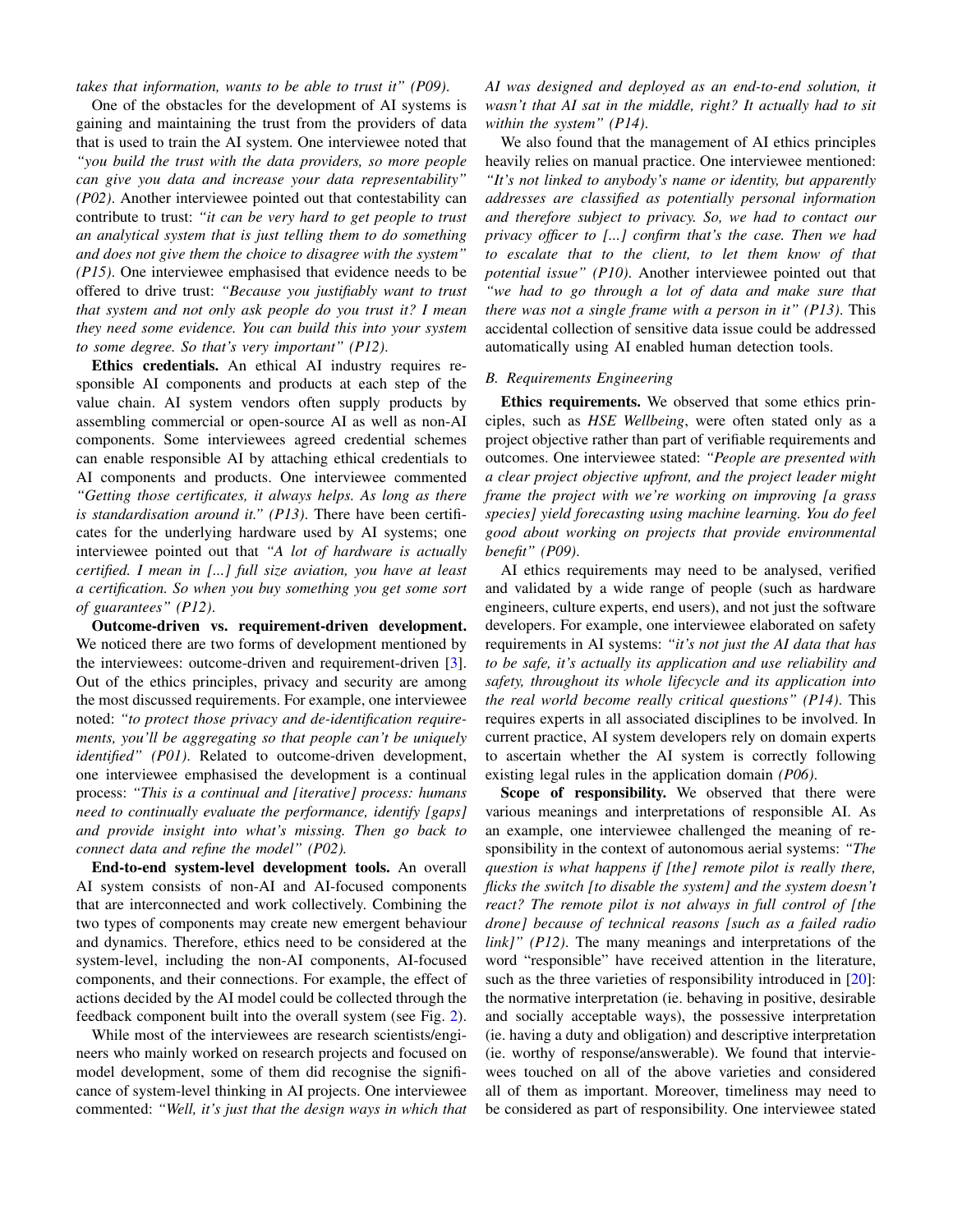*takes that information, wants to be able to trust it" (P09)*.

One of the obstacles for the development of AI systems is gaining and maintaining the trust from the providers of data that is used to train the AI system. One interviewee noted that *"you build the trust with the data providers, so more people can give you data and increase your data representability" (P02)*. Another interviewee pointed out that contestability can contribute to trust: *"it can be very hard to get people to trust an analytical system that is just telling them to do something and does not give them the choice to disagree with the system" (P15)*. One interviewee emphasised that evidence needs to be offered to drive trust: *"Because you justifiably want to trust that system and not only ask people do you trust it? I mean they need some evidence. You can build this into your system to some degree. So that's very important" (P12)*.

Ethics credentials. An ethical AI industry requires responsible AI components and products at each step of the value chain. AI system vendors often supply products by assembling commercial or open-source AI as well as non-AI components. Some interviewees agreed credential schemes can enable responsible AI by attaching ethical credentials to AI components and products. One interviewee commented *"Getting those certificates, it always helps. As long as there is standardisation around it." (P13)*. There have been certificates for the underlying hardware used by AI systems; one interviewee pointed out that *"A lot of hardware is actually certified. I mean in [...] full size aviation, you have at least a certification. So when you buy something you get some sort of guarantees" (P12)*.

Outcome-driven vs. requirement-driven development. We noticed there are two forms of development mentioned by the interviewees: outcome-driven and requirement-driven [\[3\]](#page-6-19). Out of the ethics principles, privacy and security are among the most discussed requirements. For example, one interviewee noted: *"to protect those privacy and de-identification requirements, you'll be aggregating so that people can't be uniquely identified" (P01)*. Related to outcome-driven development, one interviewee emphasised the development is a continual process: *"This is a continual and [iterative] process: humans need to continually evaluate the performance, identify [gaps] and provide insight into what's missing. Then go back to connect data and refine the model" (P02).*

End-to-end system-level development tools. An overall AI system consists of non-AI and AI-focused components that are interconnected and work collectively. Combining the two types of components may create new emergent behaviour and dynamics. Therefore, ethics need to be considered at the system-level, including the non-AI components, AI-focused components, and their connections. For example, the effect of actions decided by the AI model could be collected through the feedback component built into the overall system (see Fig. [2\)](#page-2-1).

While most of the interviewees are research scientists/engineers who mainly worked on research projects and focused on model development, some of them did recognise the significance of system-level thinking in AI projects. One interviewee commented: *"Well, it's just that the design ways in which that* *AI was designed and deployed as an end-to-end solution, it wasn't that AI sat in the middle, right? It actually had to sit within the system" (P14)*.

We also found that the management of AI ethics principles heavily relies on manual practice. One interviewee mentioned: *"It's not linked to anybody's name or identity, but apparently addresses are classified as potentially personal information and therefore subject to privacy. So, we had to contact our privacy officer to [...] confirm that's the case. Then we had to escalate that to the client, to let them know of that potential issue" (P10)*. Another interviewee pointed out that *"we had to go through a lot of data and make sure that there was not a single frame with a person in it" (P13)*. This accidental collection of sensitive data issue could be addressed automatically using AI enabled human detection tools.

## *B. Requirements Engineering*

Ethics requirements. We observed that some ethics principles, such as *HSE Wellbeing*, were often stated only as a project objective rather than part of verifiable requirements and outcomes. One interviewee stated: *"People are presented with a clear project objective upfront, and the project leader might frame the project with we're working on improving [a grass species] yield forecasting using machine learning. You do feel good about working on projects that provide environmental benefit" (P09)*.

AI ethics requirements may need to be analysed, verified and validated by a wide range of people (such as hardware engineers, culture experts, end users), and not just the software developers. For example, one interviewee elaborated on safety requirements in AI systems: *"it's not just the AI data that has to be safe, it's actually its application and use reliability and safety, throughout its whole lifecycle and its application into the real world become really critical questions" (P14)*. This requires experts in all associated disciplines to be involved. In current practice, AI system developers rely on domain experts to ascertain whether the AI system is correctly following existing legal rules in the application domain *(P06)*.

Scope of responsibility. We observed that there were various meanings and interpretations of responsible AI. As an example, one interviewee challenged the meaning of responsibility in the context of autonomous aerial systems: *"The question is what happens if [the] remote pilot is really there, flicks the switch [to disable the system] and the system doesn't react? The remote pilot is not always in full control of [the drone] because of technical reasons [such as a failed radio link]" (P12)*. The many meanings and interpretations of the word "responsible" have received attention in the literature, such as the three varieties of responsibility introduced in [\[20\]](#page-6-20): the normative interpretation (ie. behaving in positive, desirable and socially acceptable ways), the possessive interpretation (ie. having a duty and obligation) and descriptive interpretation (ie. worthy of response/answerable). We found that interviewees touched on all of the above varieties and considered all of them as important. Moreover, timeliness may need to be considered as part of responsibility. One interviewee stated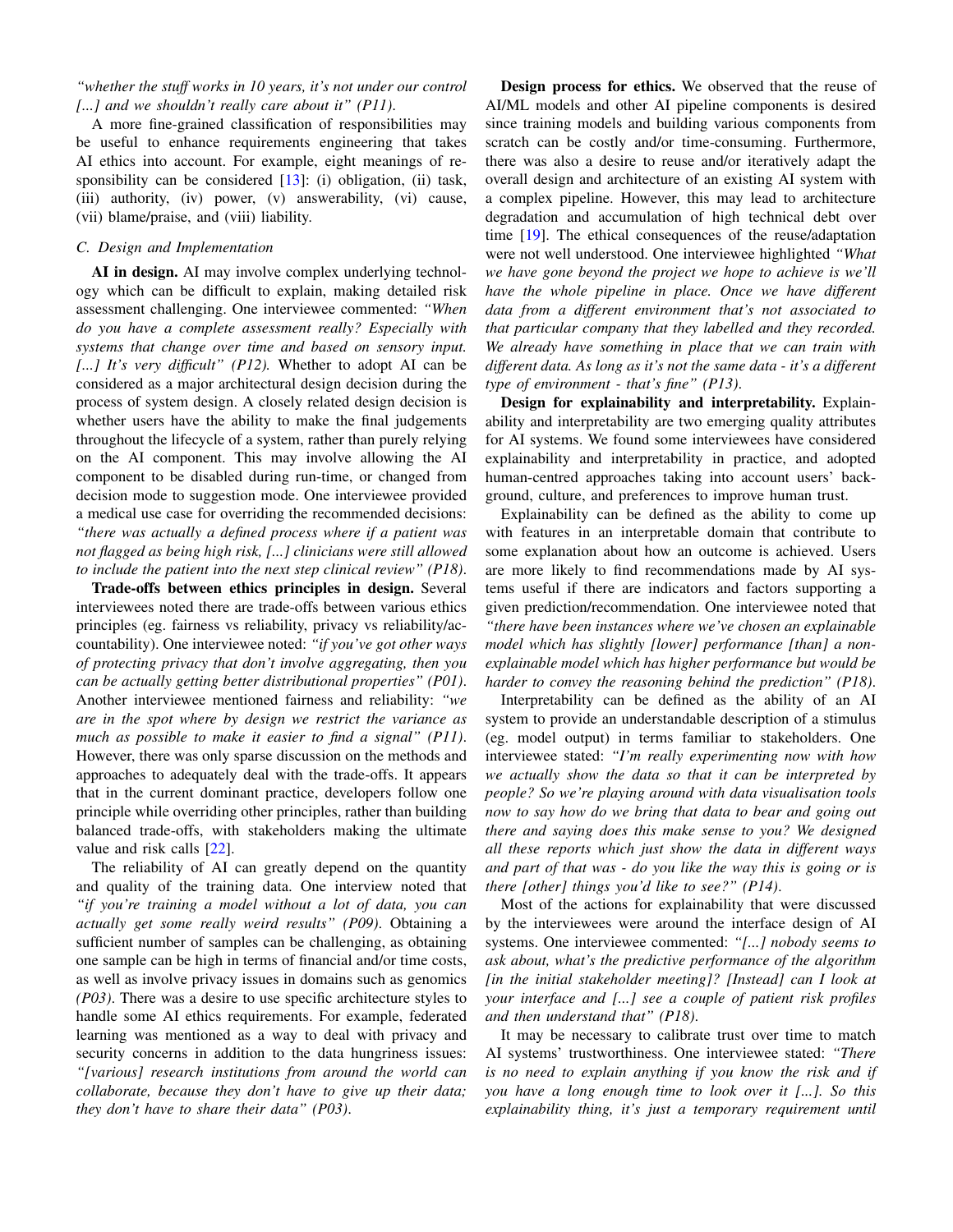*"whether the stuff works in 10 years, it's not under our control [...] and we shouldn't really care about it" (P11)*.

A more fine-grained classification of responsibilities may be useful to enhance requirements engineering that takes AI ethics into account. For example, eight meanings of responsibility can be considered  $[13]$ : (i) obligation, (ii) task, (iii) authority, (iv) power, (v) answerability, (vi) cause, (vii) blame/praise, and (viii) liability.

#### *C. Design and Implementation*

AI in design. AI may involve complex underlying technology which can be difficult to explain, making detailed risk assessment challenging. One interviewee commented: *"When do you have a complete assessment really? Especially with systems that change over time and based on sensory input. [...] It's very difficult" (P12).* Whether to adopt AI can be considered as a major architectural design decision during the process of system design. A closely related design decision is whether users have the ability to make the final judgements throughout the lifecycle of a system, rather than purely relying on the AI component. This may involve allowing the AI component to be disabled during run-time, or changed from decision mode to suggestion mode. One interviewee provided a medical use case for overriding the recommended decisions: *"there was actually a defined process where if a patient was not flagged as being high risk, [...] clinicians were still allowed to include the patient into the next step clinical review" (P18)*.

Trade-offs between ethics principles in design. Several interviewees noted there are trade-offs between various ethics principles (eg. fairness vs reliability, privacy vs reliability/accountability). One interviewee noted: *"if you've got other ways of protecting privacy that don't involve aggregating, then you can be actually getting better distributional properties" (P01)*. Another interviewee mentioned fairness and reliability: *"we are in the spot where by design we restrict the variance as much as possible to make it easier to find a signal" (P11)*. However, there was only sparse discussion on the methods and approaches to adequately deal with the trade-offs. It appears that in the current dominant practice, developers follow one principle while overriding other principles, rather than building balanced trade-offs, with stakeholders making the ultimate value and risk calls [\[22\]](#page-6-22).

The reliability of AI can greatly depend on the quantity and quality of the training data. One interview noted that *"if you're training a model without a lot of data, you can actually get some really weird results" (P09)*. Obtaining a sufficient number of samples can be challenging, as obtaining one sample can be high in terms of financial and/or time costs, as well as involve privacy issues in domains such as genomics *(P03)*. There was a desire to use specific architecture styles to handle some AI ethics requirements. For example, federated learning was mentioned as a way to deal with privacy and security concerns in addition to the data hungriness issues: *"[various] research institutions from around the world can collaborate, because they don't have to give up their data; they don't have to share their data" (P03)*.

Design process for ethics. We observed that the reuse of AI/ML models and other AI pipeline components is desired since training models and building various components from scratch can be costly and/or time-consuming. Furthermore, there was also a desire to reuse and/or iteratively adapt the overall design and architecture of an existing AI system with a complex pipeline. However, this may lead to architecture degradation and accumulation of high technical debt over time [\[19\]](#page-6-23). The ethical consequences of the reuse/adaptation were not well understood. One interviewee highlighted *"What we have gone beyond the project we hope to achieve is we'll have the whole pipeline in place. Once we have different data from a different environment that's not associated to that particular company that they labelled and they recorded. We already have something in place that we can train with different data. As long as it's not the same data - it's a different type of environment - that's fine" (P13)*.

Design for explainability and interpretability. Explainability and interpretability are two emerging quality attributes for AI systems. We found some interviewees have considered explainability and interpretability in practice, and adopted human-centred approaches taking into account users' background, culture, and preferences to improve human trust.

Explainability can be defined as the ability to come up with features in an interpretable domain that contribute to some explanation about how an outcome is achieved. Users are more likely to find recommendations made by AI systems useful if there are indicators and factors supporting a given prediction/recommendation. One interviewee noted that *"there have been instances where we've chosen an explainable model which has slightly [lower] performance [than] a nonexplainable model which has higher performance but would be harder to convey the reasoning behind the prediction" (P18)*.

Interpretability can be defined as the ability of an AI system to provide an understandable description of a stimulus (eg. model output) in terms familiar to stakeholders. One interviewee stated: *"I'm really experimenting now with how we actually show the data so that it can be interpreted by people? So we're playing around with data visualisation tools now to say how do we bring that data to bear and going out there and saying does this make sense to you? We designed all these reports which just show the data in different ways and part of that was - do you like the way this is going or is there [other] things you'd like to see?" (P14)*.

Most of the actions for explainability that were discussed by the interviewees were around the interface design of AI systems. One interviewee commented: *"[...] nobody seems to ask about, what's the predictive performance of the algorithm [in the initial stakeholder meeting]? [Instead] can I look at your interface and [...] see a couple of patient risk profiles and then understand that" (P18)*.

It may be necessary to calibrate trust over time to match AI systems' trustworthiness. One interviewee stated: *"There is no need to explain anything if you know the risk and if you have a long enough time to look over it [...]. So this explainability thing, it's just a temporary requirement until*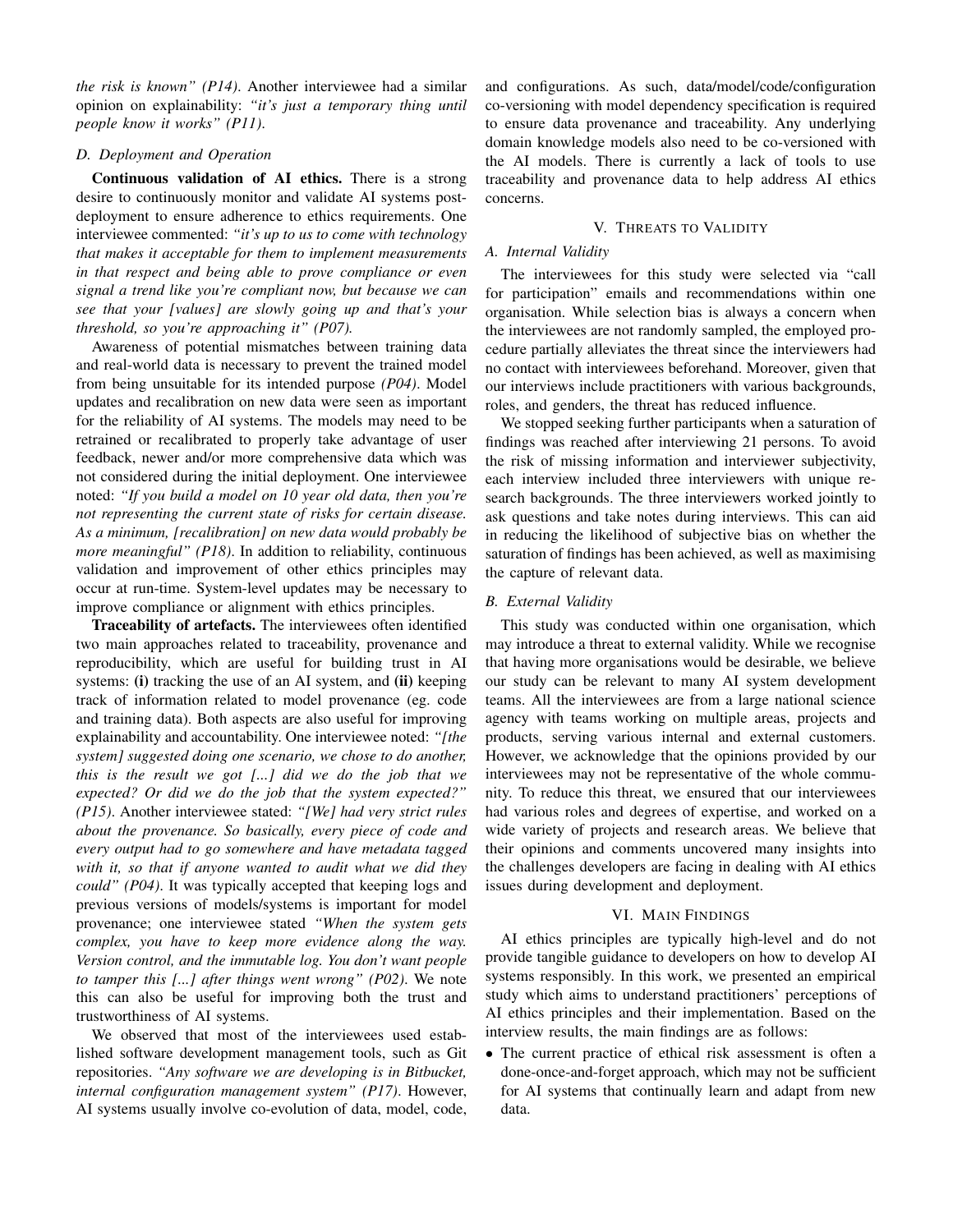*the risk is known" (P14)*. Another interviewee had a similar opinion on explainability: *"it's just a temporary thing until people know it works" (P11)*.

#### *D. Deployment and Operation*

Continuous validation of AI ethics. There is a strong desire to continuously monitor and validate AI systems postdeployment to ensure adherence to ethics requirements. One interviewee commented: *"it's up to us to come with technology that makes it acceptable for them to implement measurements in that respect and being able to prove compliance or even signal a trend like you're compliant now, but because we can see that your [values] are slowly going up and that's your threshold, so you're approaching it" (P07).*

Awareness of potential mismatches between training data and real-world data is necessary to prevent the trained model from being unsuitable for its intended purpose *(P04)*. Model updates and recalibration on new data were seen as important for the reliability of AI systems. The models may need to be retrained or recalibrated to properly take advantage of user feedback, newer and/or more comprehensive data which was not considered during the initial deployment. One interviewee noted: *"If you build a model on 10 year old data, then you're not representing the current state of risks for certain disease. As a minimum, [recalibration] on new data would probably be more meaningful" (P18)*. In addition to reliability, continuous validation and improvement of other ethics principles may occur at run-time. System-level updates may be necessary to improve compliance or alignment with ethics principles.

Traceability of artefacts. The interviewees often identified two main approaches related to traceability, provenance and reproducibility, which are useful for building trust in AI systems: (i) tracking the use of an AI system, and (ii) keeping track of information related to model provenance (eg. code and training data). Both aspects are also useful for improving explainability and accountability. One interviewee noted: *"[the system] suggested doing one scenario, we chose to do another, this is the result we got [...] did we do the job that we expected? Or did we do the job that the system expected?" (P15)*. Another interviewee stated: *"[We] had very strict rules about the provenance. So basically, every piece of code and every output had to go somewhere and have metadata tagged with it, so that if anyone wanted to audit what we did they could" (P04)*. It was typically accepted that keeping logs and previous versions of models/systems is important for model provenance; one interviewee stated *"When the system gets complex, you have to keep more evidence along the way. Version control, and the immutable log. You don't want people to tamper this [...] after things went wrong" (P02)*. We note this can also be useful for improving both the trust and trustworthiness of AI systems.

We observed that most of the interviewees used established software development management tools, such as Git repositories. *"Any software we are developing is in Bitbucket, internal configuration management system" (P17)*. However, AI systems usually involve co-evolution of data, model, code, and configurations. As such, data/model/code/configuration co-versioning with model dependency specification is required to ensure data provenance and traceability. Any underlying domain knowledge models also need to be co-versioned with the AI models. There is currently a lack of tools to use traceability and provenance data to help address AI ethics concerns.

### V. THREATS TO VALIDITY

### <span id="page-5-0"></span>*A. Internal Validity*

The interviewees for this study were selected via "call for participation" emails and recommendations within one organisation. While selection bias is always a concern when the interviewees are not randomly sampled, the employed procedure partially alleviates the threat since the interviewers had no contact with interviewees beforehand. Moreover, given that our interviews include practitioners with various backgrounds, roles, and genders, the threat has reduced influence.

We stopped seeking further participants when a saturation of findings was reached after interviewing 21 persons. To avoid the risk of missing information and interviewer subjectivity, each interview included three interviewers with unique research backgrounds. The three interviewers worked jointly to ask questions and take notes during interviews. This can aid in reducing the likelihood of subjective bias on whether the saturation of findings has been achieved, as well as maximising the capture of relevant data.

#### *B. External Validity*

This study was conducted within one organisation, which may introduce a threat to external validity. While we recognise that having more organisations would be desirable, we believe our study can be relevant to many AI system development teams. All the interviewees are from a large national science agency with teams working on multiple areas, projects and products, serving various internal and external customers. However, we acknowledge that the opinions provided by our interviewees may not be representative of the whole community. To reduce this threat, we ensured that our interviewees had various roles and degrees of expertise, and worked on a wide variety of projects and research areas. We believe that their opinions and comments uncovered many insights into the challenges developers are facing in dealing with AI ethics issues during development and deployment.

#### VI. MAIN FINDINGS

<span id="page-5-1"></span>AI ethics principles are typically high-level and do not provide tangible guidance to developers on how to develop AI systems responsibly. In this work, we presented an empirical study which aims to understand practitioners' perceptions of AI ethics principles and their implementation. Based on the interview results, the main findings are as follows:

• The current practice of ethical risk assessment is often a done-once-and-forget approach, which may not be sufficient for AI systems that continually learn and adapt from new data.